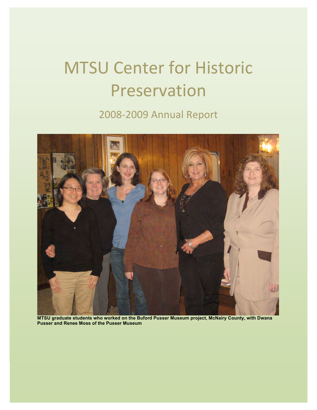# MTSU
Center
for
Historic Preservation

# 2008‐2009
Annual
Report



**MTSU graduate students who worked on the Buford Pusser Museum project, McNairy County, with Dwana Pusser and Renee Moss of the Pusser Museum**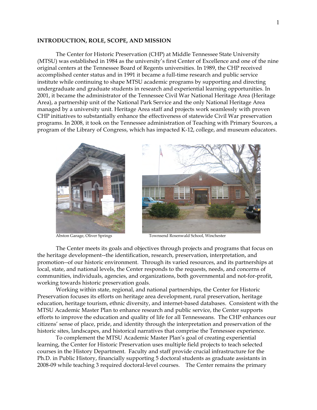#### **INTRODUCTION, ROLE, SCOPE, AND MISSION**

The Center for Historic Preservation (CHP) at Middle Tennessee State University (MTSU) was established in 1984 as the university's first Center of Excellence and one of the nine original centers at the Tennessee Board of Regents universities. In 1989, the CHP received accomplished center status and in 1991 it became a full-time research and public service institute while continuing to shape MTSU academic programs by supporting and directing undergraduate and graduate students in research and experiential learning opportunities. In 2001, it became the administrator of the Tennessee Civil War National Heritage Area (Heritage Area), a partnership unit of the National Park Service and the only National Heritage Area managed by a university unit. Heritage Area staff and projects work seamlessly with proven CHP initiatives to substantially enhance the effectiveness of statewide Civil War preservation programs. In 2008, it took on the Tennessee administration of Teaching with Primary Sources, a program of the Library of Congress, which has impacted K-12, college, and museum educators.



Abston Garage, Oliver Springs Townsend Rosenwald School, Winchester

The Center meets its goals and objectives through projects and programs that focus on the heritage development--the identification, research, preservation, interpretation, and promotion--of our historic environment. Through its varied resources, and its partnerships at local, state, and national levels, the Center responds to the requests, needs, and concerns of communities, individuals, agencies, and organizations, both governmental and not-for-profit, working towards historic preservation goals.

Working within state, regional, and national partnerships, the Center for Historic Preservation focuses its efforts on heritage area development, rural preservation, heritage education, heritage tourism, ethnic diversity, and internet-based databases. Consistent with the MTSU Academic Master Plan to enhance research and public service, the Center supports efforts to improve the education and quality of life for all Tennesseans. The CHP enhances our citizens' sense of place, pride, and identity through the interpretation and preservation of the historic sites, landscapes, and historical narratives that comprise the Tennessee experience.

To complement the MTSU Academic Master Plan's goal of creating experiential learning, the Center for Historic Preservation uses multiple field projects to teach selected courses in the History Department. Faculty and staff provide crucial infrastructure for the Ph.D. in Public History, financially supporting 5 doctoral students as graduate assistants in 2008-09 while teaching 3 required doctoral-level courses. The Center remains the primary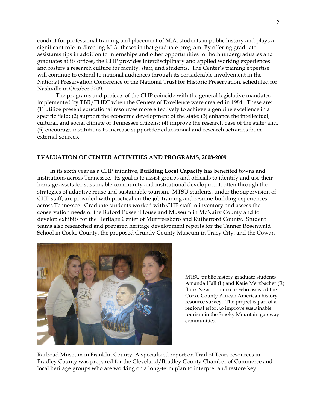conduit for professional training and placement of M.A. students in public history and plays a significant role in directing M.A. theses in that graduate program. By offering graduate assistantships in addition to internships and other opportunities for both undergraduates and graduates at its offices, the CHP provides interdisciplinary and applied working experiences and fosters a research culture for faculty, staff, and students. The Center's training expertise will continue to extend to national audiences through its considerable involvement in the National Preservation Conference of the National Trust for Historic Preservation, scheduled for Nashville in October 2009.

The programs and projects of the CHP coincide with the general legislative mandates implemented by TBR/THEC when the Centers of Excellence were created in 1984. These are: (1) utilize present educational resources more effectively to achieve a genuine excellence in a specific field; (2) support the economic development of the state; (3) enhance the intellectual, cultural, and social climate of Tennessee citizens; (4) improve the research base of the state; and, (5) encourage institutions to increase support for educational and research activities from external sources.

#### **EVALUATION OF CENTER ACTIVITIES AND PROGRAMS, 2008-2009**

 In its sixth year as a CHP initiative, **Building Local Capacity** has benefited towns and institutions across Tennessee. Its goal is to assist groups and officials to identify and use their heritage assets for sustainable community and institutional development, often through the strategies of adaptive reuse and sustainable tourism. MTSU students, under the supervision of CHP staff, are provided with practical on-the-job training and resume-building experiences across Tennessee. Graduate students worked with CHP staff to inventory and assess the conservation needs of the Buford Pusser House and Museum in McNairy County and to develop exhibits for the Heritage Center of Murfreesboro and Rutherford County. Student teams also researched and prepared heritage development reports for the Tanner Rosenwald School in Cocke County, the proposed Grundy County Museum in Tracy City, and the Cowan



MTSU public history graduate students Amanda Hall (L) and Katie Merzbacher (R) flank Newport citizens who assisted the Cocke County African American history resource survey. The project is part of a regional effort to improve sustainable tourism in the Smoky Mountain gateway communities.

Railroad Museum in Franklin County. A specialized report on Trail of Tears resources in Bradley County was prepared for the Cleveland/Bradley County Chamber of Commerce and local heritage groups who are working on a long-term plan to interpret and restore key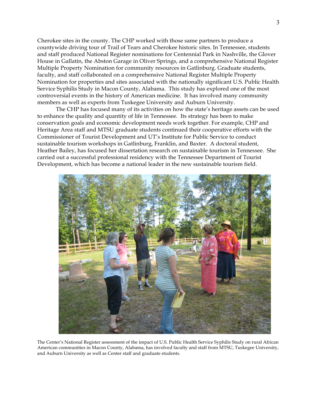Cherokee sites in the county. The CHP worked with those same partners to produce a countywide driving tour of Trail of Tears and Cherokee historic sites. In Tennessee, students and staff produced National Register nominations for Centennial Park in Nashville, the Glover House in Gallatin, the Abston Garage in Oliver Springs, and a comprehensive National Register Multiple Property Nomination for community resources in Gatlinburg. Graduate students, faculty, and staff collaborated on a comprehensive National Register Multiple Property Nomination for properties and sites associated with the nationally significant U.S. Public Health Service Syphilis Study in Macon County, Alabama. This study has explored one of the most controversial events in the history of American medicine. It has involved many community members as well as experts from Tuskegee University and Auburn University.

The CHP has focused many of its activities on how the state's heritage assets can be used to enhance the quality and quantity of life in Tennessee. Its strategy has been to make conservation goals and economic development needs work together. For example, CHP and Heritage Area staff and MTSU graduate students continued their cooperative efforts with the Commissioner of Tourist Development and UT's Institute for Public Service to conduct sustainable tourism workshops in Gatlinburg, Franklin, and Baxter.A doctoral student, Heather Bailey, has focused her dissertation research on sustainable tourism in Tennessee. She carried out a successful professional residency with the Tennessee Department of Tourist Development, which has become a national leader in the new sustainable tourism field.



The Center's National Register assessment of the impact of U.S. Public Health Service Syphilis Study on rural African American communities in Macon County, Alabama, has involved faculty and staff from MTSU, Tuskegee University, and Auburn University as well as Center staff and graduate students.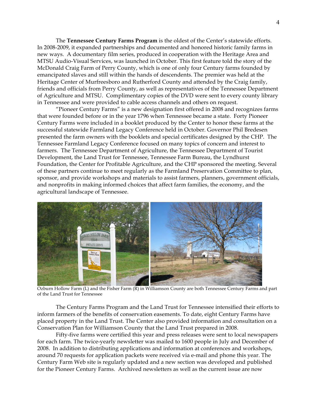The **Tennessee Century Farms Program** is the oldest of the Center's statewide efforts. In 2008-2009, it expanded partnerships and documented and honored historic family farms in new ways. A documentary film series, produced in cooperation with the Heritage Area and MTSU Audio-Visual Services, was launched in October. This first feature told the story of the McDonald Craig Farm of Perry County, which is one of only four Century farms founded by emancipated slaves and still within the hands of descendents. The premier was held at the Heritage Center of Murfreesboro and Rutherford County and attended by the Craig family, friends and officials from Perry County, as well as representatives of the Tennessee Department of Agriculture and MTSU. Complimentary copies of the DVD were sent to every county library in Tennessee and were provided to cable access channels and others on request.

 "Pioneer Century Farms" is a new designation first offered in 2008 and recognizes farms that were founded before or in the year 1796 when Tennessee became a state. Forty Pioneer Century Farms were included in a booklet produced by the Center to honor these farms at the successful statewide Farmland Legacy Conference held in October. Governor Phil Bredesen presented the farm owners with the booklets and special certificates designed by the CHP. The Tennessee Farmland Legacy Conference focused on many topics of concern and interest to farmers. The Tennessee Department of Agriculture, the Tennessee Department of Tourist Development, the Land Trust for Tennessee, Tennessee Farm Bureau, the Lyndhurst Foundation, the Center for Profitable Agriculture, and the CHP sponsored the meeting. Several of these partners continue to meet regularly as the Farmland Preservation Committee to plan, sponsor, and provide workshops and materials to assist farmers, planners, government officials, and nonprofits in making informed choices that affect farm families, the economy, and the agricultural landscape of Tennessee.



Ozburn Hollow Farm (L) and the Fisher Farm (R) in Williamson County are both Tennessee Century Farms and part of the Land Trust for Tennessee

 The Century Farms Program and the Land Trust for Tennessee intensified their efforts to inform farmers of the benefits of conservation easements. To date, eight Century Farms have placed property in the Land Trust. The Center also provided information and consultation on a Conservation Plan for Williamson County that the Land Trust prepared in 2008.

 Fifty-five farms were certified this year and press releases were sent to local newspapers for each farm. The twice-yearly newsletter was mailed to 1600 people in July and December of 2008. In addition to distributing applications and information at conferences and workshops, around 70 requests for application packets were received via e-mail and phone this year. The Century Farm Web site is regularly updated and a new section was developed and published for the Pioneer Century Farms. Archived newsletters as well as the current issue are now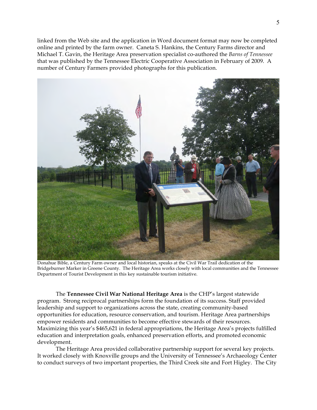linked from the Web site and the application in Word document format may now be completed online and printed by the farm owner. Caneta S. Hankins, the Century Farms director and Michael T. Gavin, the Heritage Area preservation specialist co-authored the *Barns of Tennessee* that was published by the Tennessee Electric Cooperative Association in February of 2009. A number of Century Farmers provided photographs for this publication.



Donahue Bible, a Century Farm owner and local historian, speaks at the Civil War Trail dedication of the Bridgeburner Marker in Greene County. The Heritage Area works closely with local communities and the Tennessee Department of Tourist Development in this key sustainable tourism initiative.

The **Tennessee Civil War National Heritage Area** is the CHP's largest statewide program. Strong reciprocal partnerships form the foundation of its success. Staff provided leadership and support to organizations across the state, creating community-based opportunities for education, resource conservation, and tourism. Heritage Area partnerships empower residents and communities to become effective stewards of their resources. Maximizing this year's \$465,621 in federal appropriations, the Heritage Area's projects fulfilled education and interpretation goals, enhanced preservation efforts, and promoted economic development.

 The Heritage Area provided collaborative partnership support for several key projects. It worked closely with Knoxville groups and the University of Tennessee's Archaeology Center to conduct surveys of two important properties, the Third Creek site and Fort Higley. The City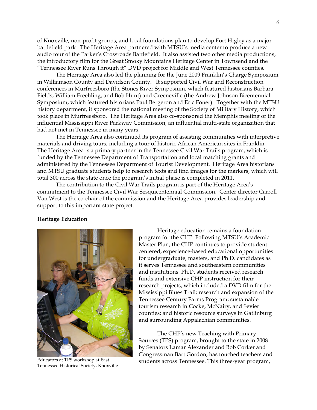of Knoxville, non-profit groups, and local foundations plan to develop Fort Higley as a major battlefield park. The Heritage Area partnered with MTSU's media center to produce a new audio tour of the Parker's Crossroads Battlefield. It also assisted two other media productions, the introductory film for the Great Smoky Mountains Heritage Center in Townsend and the "Tennessee River Runs Through it" DVD project for Middle and West Tennessee counties.

 The Heritage Area also led the planning for the June 2009 Franklin's Charge Symposium in Williamson County and Davidson County. It supported Civil War and Reconstruction conferences in Murfreesboro (the Stones River Symposium, which featured historians Barbara Fields, William Freehling, and Bob Hunt) and Greeneville (the Andrew Johnson Bicentennial Symposium, which featured historians Paul Bergeron and Eric Foner). Together with the MTSU history department, it sponsored the national meeting of the Society of Military History, which took place in Murfreesboro. The Heritage Area also co-sponsored the Memphis meeting of the influential Mississippi River Parkway Commission, an influential multi-state organization that had not met in Tennessee in many years.

 The Heritage Area also continued its program of assisting communities with interpretive materials and driving tours, including a tour of historic African American sites in Franklin. The Heritage Area is a primary partner in the Tennessee Civil War Trails program, which is funded by the Tennessee Department of Transportation and local matching grants and administered by the Tennessee Department of Tourist Development. Heritage Area historians and MTSU graduate students help to research texts and find images for the markers, which will total 300 across the state once the program's initial phase is completed in 2011.

 The contribution to the Civil War Trails program is part of the Heritage Area's commitment to the Tennessee Civil War Sesquicentennial Commission. Center director Carroll Van West is the co-chair of the commission and the Heritage Area provides leadership and support to this important state project.

#### **Heritage Education**



Educators at TPS workshop at East Tennessee Historical Society, Knoxville

Heritage education remains a foundation program for the CHP. Following MTSU's Academic Master Plan, the CHP continues to provide studentcentered, experience-based educational opportunities for undergraduate, masters, and Ph.D. candidates as it serves Tennessee and southeastern communities and institutions. Ph.D. students received research funds and extensive CHP instruction for their research projects, which included a DVD film for the Mississippi Blues Trail; research and expansion of the Tennessee Century Farms Program; sustainable tourism research in Cocke, McNairy, and Sevier counties; and historic resource surveys in Gatlinburg and surrounding Appalachian communities.

The CHP's new Teaching with Primary Sources (TPS) program, brought to the state in 2008 by Senators Lamar Alexander and Bob Corker and Congressman Bart Gordon, has touched teachers and students across Tennessee. This three-year program,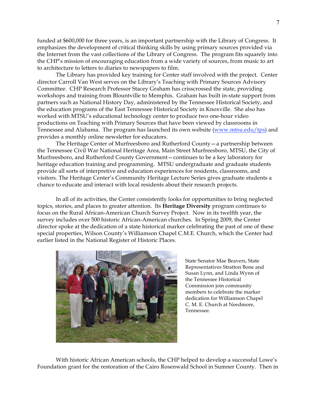funded at \$600,000 for three years, is an important partnership with the Library of Congress. It emphasizes the development of critical thinking skills by using primary sources provided via the Internet from the vast collections of the Library of Congress. The program fits squarely into the CHP's mission of encouraging education from a wide variety of sources, from music to art to architecture to letters to diaries to newspapers to film.

 The Library has provided key training for Center staff involved with the project. Center director Carroll Van West serves on the Library's Teaching with Primary Sources Advisory Committee. CHP Research Professor Stacey Graham has crisscrossed the state, providing workshops and training from Blountville to Memphis. Graham has built in-state support from partners such as National History Day, administered by the Tennessee Historical Society, and the education programs of the East Tennessee Historical Society in Knoxville. She also has worked with MTSU's educational technology center to produce two one-hour video productions on Teaching with Primary Sources that have been viewed by classrooms in Tennessee and Alabama. The program has launched its own website (www.mtsu.edu/tps) and provides a monthly online newsletter for educators.

The Heritage Center of Murfreesboro and Rutherford County—a partnership between the Tennessee Civil War National Heritage Area, Main Street Murfreesboro, MTSU, the City of Murfreesboro, and Rutherford County Government—continues to be a key laboratory for heritage education training and programming. MTSU undergraduate and graduate students provide all sorts of interpretive and education experiences for residents, classrooms, and visitors. The Heritage Center's Community Heritage Lecture Series gives graduate students a chance to educate and interact with local residents about their research projects.

In all of its activities, the Center consistently looks for opportunities to bring neglected topics, stories, and places to greater attention. Its **Heritage Diversity** program continues to focus on the Rural African-American Church Survey Project. Now in its twelfth year, the survey includes over 500 historic African-American churches. In Spring 2009, the Center director spoke at the dedication of a state historical marker celebrating the past of one of these special properties, Wilson County's Williamson Chapel C.M.E. Church, which the Center had earlier listed in the National Register of Historic Places.



State Senator Mae Beavers, State Representatives Stratton Bone and Susan Lynn, and Linda Wynn of the Tennessee Historical Commission join community members to celebrate the marker dedication for Williamson Chapel C. M. E. Church at Needmore, Tennessee.

With historic African American schools, the CHP helped to develop a successful Lowe's Foundation grant for the restoration of the Cairo Rosenwald School in Sumner County. Then in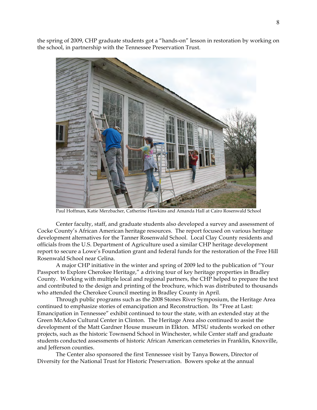the spring of 2009, CHP graduate students got a "hands-on" lesson in restoration by working on the school, in partnership with the Tennessee Preservation Trust.



Paul Hoffman, Katie Merzbacher, Catherine Hawkins and Amanda Hall at Cairo Rosenwald School

Center faculty, staff, and graduate students also developed a survey and assessment of Cocke County's African American heritage resources. The report focused on various heritage development alternatives for the Tanner Rosenwald School. Local Clay County residents and officials from the U.S. Department of Agriculture used a similar CHP heritage development report to secure a Lowe's Foundation grant and federal funds for the restoration of the Free Hill Rosenwald School near Celina.

 A major CHP initiative in the winter and spring of 2009 led to the publication of "Your Passport to Explore Cherokee Heritage," a driving tour of key heritage properties in Bradley County. Working with multiple local and regional partners, the CHP helped to prepare the text and contributed to the design and printing of the brochure, which was distributed to thousands who attended the Cherokee Council meeting in Bradley County in April.

 Through public programs such as the 2008 Stones River Symposium, the Heritage Area continued to emphasize stories of emancipation and Reconstruction. Its "Free at Last: Emancipation in Tennessee" exhibit continued to tour the state, with an extended stay at the Green McAdoo Cultural Center in Clinton. The Heritage Area also continued to assist the development of the Matt Gardner House museum in Elkton. MTSU students worked on other projects, such as the historic Townsend School in Winchester, while Center staff and graduate students conducted assessments of historic African American cemeteries in Franklin, Knoxville, and Jefferson counties.

 The Center also sponsored the first Tennessee visit by Tanya Bowers, Director of Diversity for the National Trust for Historic Preservation. Bowers spoke at the annual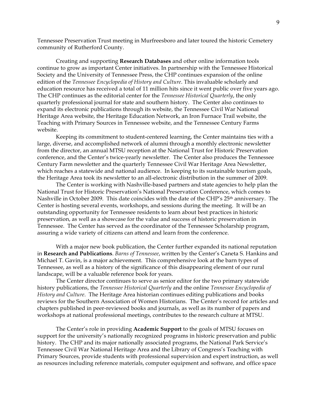Tennessee Preservation Trust meeting in Murfreesboro and later toured the historic Cemetery community of Rutherford County.

 Creating and supporting **Research Databases** and other online information tools continue to grow as important Center initiatives. In partnership with the Tennessee Historical Society and the University of Tennessee Press, the CHP continues expansion of the online edition of the *Tennessee Encyclopedia of History and Culture*. This invaluable scholarly and education resource has received a total of 11 million hits since it went public over five years ago. The CHP continues as the editorial center for the *Tennessee Historical Quarterly*, the only quarterly professional journal for state and southern history. The Center also continues to expand its electronic publications through its website, the Tennessee Civil War National Heritage Area website, the Heritage Education Network, an Iron Furnace Trail website, the Teaching with Primary Sources in Tennessee website, and the Tennessee Century Farms website.

 Keeping its commitment to student-centered learning, the Center maintains ties with a large, diverse, and accomplished network of alumni through a monthly electronic newsletter from the director, an annual MTSU reception at the National Trust for Historic Preservation conference, and the Center's twice-yearly newsletter. The Center also produces the Tennessee Century Farm newsletter and the quarterly Tennessee Civil War Heritage Area Newsletter, which reaches a statewide and national audience. In keeping to its sustainable tourism goals, the Heritage Area took its newsletter to an all-electronic distribution in the summer of 2009.

 The Center is working with Nashville-based partners and state agencies to help plan the National Trust for Historic Preservation's National Preservation Conference, which comes to Nashville in October 2009. This date coincides with the date of the CHP's 25th anniversary. The Center is hosting several events, workshops, and sessions during the meeting. It will be an outstanding opportunity for Tennessee residents to learn about best practices in historic preservation, as well as a showcase for the value and success of historic preservation in Tennessee. The Center has served as the coordinator of the Tennessee Scholarship program, assuring a wide variety of citizens can attend and learn from the conference.

 With a major new book publication, the Center further expanded its national reputation in **Research and Publications**. *Barns of Tennessee*, written by the Center's Caneta S. Hankins and Michael T. Gavin, is a major achievement. This comprehensive look at the barn types of Tennessee, as well as a history of the significance of this disappearing element of our rural landscape, will be a valuable reference book for years.

 The Center director continues to serve as senior editor for the two primary statewide history publications, the *Tennessee Historical Quarterly* and the online *Tennessee Encyclopedia of History and Culture*. The Heritage Area historian continues editing publications and books reviews for the Southern Association of Women Historians. The Center's record for articles and chapters published in peer-reviewed books and journals, as well as its number of papers and workshops at national professional meetings, contributes to the research culture at MTSU.

 The Center's role in providing **Academic Support** to the goals of MTSU focuses on support for the university's nationally recognized programs in historic preservation and public history. The CHP and its major nationally associated programs, the National Park Service's Tennessee Civil War National Heritage Area and the Library of Congress's Teaching with Primary Sources, provide students with professional supervision and expert instruction, as well as resources including reference materials, computer equipment and software, and office space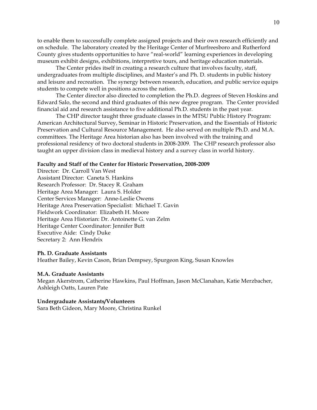to enable them to successfully complete assigned projects and their own research efficiently and on schedule. The laboratory created by the Heritage Center of Murfreesboro and Rutherford County gives students opportunities to have "real-world" learning experiences in developing museum exhibit designs, exhibitions, interpretive tours, and heritage education materials.

 The Center prides itself in creating a research culture that involves faculty, staff, undergraduates from multiple disciplines, and Master's and Ph. D. students in public history and leisure and recreation. The synergy between research, education, and public service equips students to compete well in positions across the nation.

The Center director also directed to completion the Ph.D. degrees of Steven Hoskins and Edward Salo, the second and third graduates of this new degree program. The Center provided financial aid and research assistance to five additional Ph.D. students in the past year.

 The CHP director taught three graduate classes in the MTSU Public History Program: American Architectural Survey, Seminar in Historic Preservation, and the Essentials of Historic Preservation and Cultural Resource Management. He also served on multiple Ph.D. and M.A. committees. The Heritage Area historian also has been involved with the training and professional residency of two doctoral students in 2008-2009. The CHP research professor also taught an upper division class in medieval history and a survey class in world history.

#### **Faculty and Staff of the Center for Historic Preservation, 2008-2009**

Director: Dr. Carroll Van West Assistant Director: Caneta S. Hankins Research Professor: Dr. Stacey R. Graham Heritage Area Manager: Laura S. Holder Center Services Manager: Anne-Leslie Owens Heritage Area Preservation Specialist: Michael T. Gavin Fieldwork Coordinator: Elizabeth H. Moore Heritage Area Historian: Dr. Antoinette G. van Zelm Heritage Center Coordinator: Jennifer Butt Executive Aide: Cindy Duke Secretary 2: Ann Hendrix

#### **Ph. D. Graduate Assistants**

Heather Bailey, Kevin Cason, Brian Dempsey, Spurgeon King, Susan Knowles

#### **M.A. Graduate Assistants**

Megan Akerstrom, Catherine Hawkins, Paul Hoffman, Jason McClanahan, Katie Merzbacher, Ashleigh Oatts, Lauren Pate

#### **Undergraduate Assistants/Volunteers**

Sara Beth Gideon, Mary Moore, Christina Runkel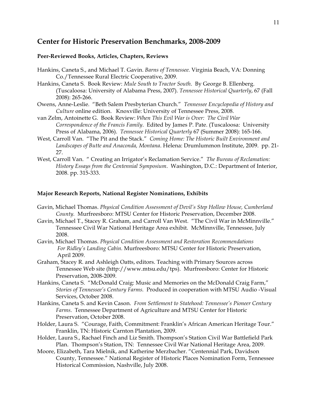# **Center for Historic Preservation Benchmarks, 2008-2009**

#### **Peer-Reviewed Books, Articles, Chapters, Reviews**

- Hankins, Caneta S., and Michael T. Gavin. *Barns of Tennessee.* Virginia Beach, VA: Donning Co./Tennessee Rural Electric Cooperative, 2009.
- Hankins, Caneta S. Book Review: *Mule South to Tractor South*. By George B. Ellenberg. (Tuscaloosa: University of Alabama Press, 2007). *Tennessee Historical Quarterly*, 67 (Fall 2008): 265-266.
- Owens, Anne-Leslie. "Beth Salem Presbyterian Church." *Tennessee Encyclopedia of History and Culture* online edition. Knoxville: University of Tennessee Press, 2008.
- van Zelm, Antoinette G. Book Review: *When This Evil War is Over: The Civil War Correspondence of the Francis Family*. Edited by James P. Pate. (Tuscaloosa: University Press of Alabama, 2006). *Tennessee Historical Quarterly* 67 (Summer 2008): 165-166.
- West, Carroll Van. "The Pit and the Stack." *Coming Home: The Historic Built Environment and Landscapes of Butte and Anaconda, Montana*. Helena: Drumlummon Institute, 2009. pp. 21- 27.
- West, Carroll Van. " Creating an Irrigator's Reclamation Service." *The Bureau of Reclamation: History Essays from the Centennial Symposium*. Washington, D.C.: Department of Interior, 2008. pp. 315-333.

# **Major Research Reports, National Register Nominations, Exhibits**

- Gavin, Michael Thomas. *Physical Condition Assessment of Devil's Step Hollow House, Cumberland County.* Murfreesboro: MTSU Center for Historic Preservation, December 2008.
- Gavin, Michael T., Stacey R. Graham, and Carroll Van West. "The Civil War in McMinnville." Tennessee Civil War National Heritage Area exhibit. McMinnville, Tennessee, July 2008.
- Gavin, Michael Thomas. *Physical Condition Assessment and Restoration Recommendations For Ridley's Landing Cabin.* Murfreesboro: MTSU Center for Historic Preservation, April 2009.
- Graham, Stacey R. and Ashleigh Oatts, editors. Teaching with Primary Sources across Tennessee Web site (http://www.mtsu.edu/tps). Murfreesboro: Center for Historic Preservation, 2008-2009.
- Hankins, Caneta S. "McDonald Craig: Music and Memories on the McDonald Craig Farm," *Stories of Tennessee's Century Farms.* Produced in cooperation with MTSU Audio -Visual Services, October 2008.
- Hankins, Caneta S. and Kevin Cason. *From Settlement to Statehood: Tennessee's Pioneer Century Farms*. Tennessee Department of Agriculture and MTSU Center for Historic Preservation, October 2008.
- Holder, Laura S. "Courage, Faith, Commitment: Franklin's African American Heritage Tour." Franklin, TN: Historic Carnton Plantation, 2009.
- Holder, Laura S., Rachael Finch and Liz Smith. Thompson's Station Civil War Battlefield Park Plan. Thompson's Station, TN: Tennessee Civil War National Heritage Area, 2009.
- Moore, Elizabeth, Tara Mielnik, and Katherine Merzbacher. "Centennial Park, Davidson County, Tennessee." National Register of Historic Places Nomination Form, Tennessee Historical Commission, Nashville, July 2008.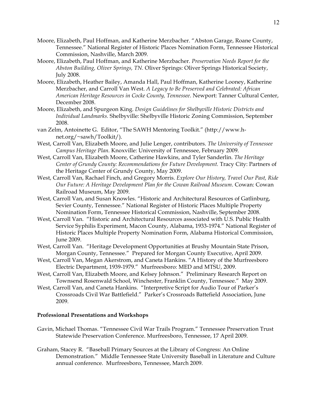- Moore, Elizabeth, Paul Hoffman, and Katherine Merzbacher. "Abston Garage, Roane County, Tennessee." National Register of Historic Places Nomination Form, Tennessee Historical Commission, Nashville, March 2009.
- Moore, Elizabeth, Paul Hoffman, and Katherine Merzbacher. *Preservation Needs Report for the Abston Building, Oliver Springs, TN.* Oliver Springs: Oliver Springs Historical Society, July 2008.
- Moore, Elizabeth, Heather Bailey, Amanda Hall, Paul Hoffman, Katherine Looney, Katherine Merzbacher, and Carroll Van West. *A Legacy to Be Preserved and Celebrated: African American Heritage Resources in Cocke County, Tennessee*. Newport: Tanner Cultural Center, December 2008.
- Moore, Elizabeth, and Spurgeon King. *Design Guidelines for Shelbyville Historic Districts and Individual Landmarks.* Shelbyville: Shelbyville Historic Zoning Commission, September 2008.
- van Zelm, Antoinette G. Editor, "The SAWH Mentoring Toolkit." (http://www.hnet.org/~sawh/Toolkit/).
- West, Carroll Van, Elizabeth Moore, and Julie Lenger, contributors. *The University of Tennessee Campus Heritage Plan.* Knoxville: University of Tennessee, February 2009.
- West, Carroll Van, Elizabeth Moore, Catherine Hawkins, and Tyler Sanderlin. *The Heritage Center of Grundy County: Recommendations for Future Development.* Tracy City: Partners of the Heritage Center of Grundy County, May 2009.
- West, Carroll Van, Rachael Finch, and Gregory Morris. *Explore Our History, Travel Our Past, Ride Our Future: A Heritage Development Plan for the Cowan Railroad Museum*. Cowan: Cowan Railroad Museum, May 2009.
- West, Carroll Van, and Susan Knowles. "Historic and Architectural Resources of Gatlinburg, Sevier County, Tennessee." National Register of Historic Places Multiple Property Nomination Form, Tennessee Historical Commission, Nashville, September 2008.
- West, Carroll Van. "Historic and Architectural Resources associated with U.S. Public Health Service Syphilis Experiment, Macon County, Alabama, 1933-1974." National Register of Historic Places Multiple Property Nomination Form, Alabama Historical Commission, June 2009.
- West, Carroll Van. "Heritage Development Opportunities at Brushy Mountain State Prison, Morgan County, Tennessee." Prepared for Morgan County Executive, April 2009.
- West, Carroll Van, Megan Akerstrom, and Caneta Hankins. "A History of the Murfreesboro Electric Department, 1939-1979." Murfreesboro: MED and MTSU, 2009.
- West, Carroll Van, Elizabeth Moore, and Kelsey Johnson." Preliminary Research Report on Townsend Rosenwald School, Winchester, Franklin County, Tennessee." May 2009.
- West, Carroll Van, and Caneta Hankins. "Interpretive Script for Audio Tour of Parker's Crossroads Civil War Battlefield." Parker's Crossroads Battefield Association, June 2009.

# **Professional Presentations and Workshops**

- Gavin, Michael Thomas. "Tennessee Civil War Trails Program." Tennessee Preservation Trust Statewide Preservation Conference. Murfreesboro, Tennessee, 17 April 2009.
- Graham, Stacey R. "Baseball Primary Sources at the Library of Congress: An Online Demonstration." Middle Tennessee State University Baseball in Literature and Culture annual conference. Murfreesboro, Tennessee, March 2009.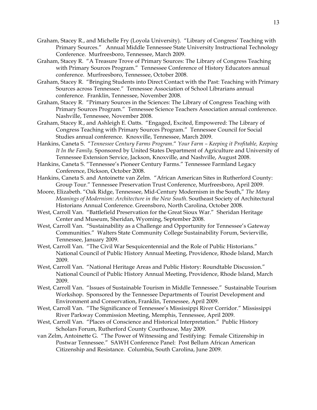- Graham, Stacey R., and Michelle Fry (Loyola University). "Library of Congress' Teaching with Primary Sources." Annual Middle Tennessee State University Instructional Technology Conference. Murfreesboro, Tennessee, March 2009.
- Graham, Stacey R. "A Treasure Trove of Primary Sources: The Library of Congress Teaching with Primary Sources Program." Tennessee Conference of History Educators annual conference. Murfreesboro, Tennessee, October 2008.
- Graham, Stacey R. "Bringing Students into Direct Contact with the Past: Teaching with Primary Sources across Tennessee." Tennessee Association of School Librarians annual conference. Franklin, Tennessee, November 2008.
- Graham, Stacey R. "Primary Sources in the Sciences: The Library of Congress Teaching with Primary Sources Program." Tennessee Science Teachers Association annual conference. Nashville, Tennessee, November 2008.
- Graham, Stacey R., and Ashleigh E. Oatts. "Engaged, Excited, Empowered: The Library of Congress Teaching with Primary Sources Program." Tennessee Council for Social Studies annual conference. Knoxville, Tennessee, March 2009.
- Hankins, Caneta S. "*Tennessee Century Farms Program*." *Your Farm Keeping it Profitable, Keeping It In the Family*. Sponsored by United States Department of Agriculture and University of Tennessee Extension Service, Jackson, Knoxville, and Nashville, August 2008.
- Hankins, Caneta S. "Tennessee's Pioneer Century Farms." Tennessee Farmland Legacy Conference, Dickson, October 2008.
- Hankins, Caneta S. and Antoinette van Zelm. "African American Sites in Rutherford County: Group Tour." Tennessee Preservation Trust Conference, Murfreesboro, April 2009.
- Moore, Elizabeth. "Oak Ridge, Tennessee, Mid-Century Modernism in the South," *The Many Meanings of Modernism: Architecture in the New South*. Southeast Society of Architectural Historians Annual Conference. Greensboro, North Carolina, October 2008.
- West, Carroll Van. "Battlefield Preservation for the Great Sioux War." Sheridan Heritage Center and Museum, Sheridan, Wyoming, September 2008.
- West, Carroll Van. "Sustainability as a Challenge and Opportunity for Tennessee's Gateway Communities." Walters State Community College Sustainability Forum, Sevierville, Tennessee, January 2009.
- West, Carroll Van. "The Civil War Sesquicentennial and the Role of Public Historians." National Council of Public History Annual Meeting, Providence, Rhode Island, March 2009.
- West, Carroll Van. "National Heritage Areas and Public History: Roundtable Discussion." National Council of Public History Annual Meeting, Providence, Rhode Island, March 2009.
- West, Carroll Van. "Issues of Sustainable Tourism in Middle Tennessee." Sustainable Tourism Workshop. Sponsored by the Tennessee Departments of Tourist Development and Environment and Conservation, Franklin, Tennessee, April 2009.
- West, Carroll Van. "The Significance of Tennessee's Mississippi River Corridor." Mississippi River Parkway Commission Meeting, Memphis, Tennessee, April 2009.
- West, Carroll Van. "Places of Conscience and Historical Interpretation." Public History Scholars Forum, Rutherford County Courthouse, May 2009.
- van Zelm, Antoinette G. "The Power of Witnessing and Testifying: Female Citizenship in Postwar Tennessee." SAWH Conference Panel: Post Bellum African American Citizenship and Resistance. Columbia, South Carolina, June 2009.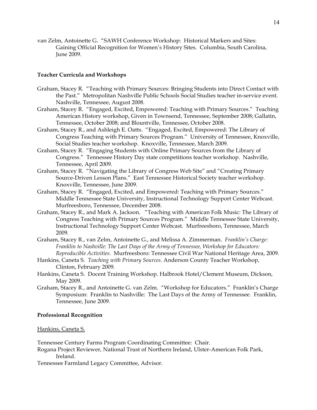van Zelm, Antoinette G. "SAWH Conference Workshop: Historical Markers and Sites: Gaining Official Recognition for Women's History Sites. Columbia, South Carolina, June 2009.

## **Teacher Curricula and Workshops**

- Graham, Stacey R. "Teaching with Primary Sources: Bringing Students into Direct Contact with the Past." Metropolitan Nashville Public Schools Social Studies teacher in-service event. Nashville, Tennessee, August 2008.
- Graham, Stacey R. "Engaged, Excited, Empowered: Teaching with Primary Sources." Teaching American History workshop, Given in Townsend, Tennessee, September 2008; Gallatin, Tennessee, October 2008; and Blountville, Tennessee, October 2008.
- Graham, Stacey R., and Ashleigh E. Oatts. "Engaged, Excited, Empowered: The Library of Congress Teaching with Primary Sources Program." University of Tennessee, Knoxville, Social Studies teacher workshop. Knoxville, Tennessee, March 2009.
- Graham, Stacey R. "Engaging Students with Online Primary Sources from the Library of Congress." Tennessee History Day state competitions teacher workshop. Nashville, Tennessee, April 2009.
- Graham, Stacey R. "Navigating the Library of Congress Web Site" and "Creating Primary Source-Driven Lesson Plans." East Tennessee Historical Society teacher workshop. Knoxville, Tennessee, June 2009.
- Graham, Stacey R. "Engaged, Excited, and Empowered: Teaching with Primary Sources." Middle Tennessee State University, Instructional Technology Support Center Webcast. Murfreesboro, Tennessee, December 2008.
- Graham, Stacey R., and Mark A. Jackson. "Teaching with American Folk Music: The Library of Congress Teaching with Primary Sources Program." Middle Tennessee State University, Instructional Technology Support Center Webcast. Murfreesboro, Tennessee, March 2009.
- Graham, Stacey R., van Zelm, Antoinette G., and Melissa A. Zimmerman. *Franklin's Charge: Franklin to Nashville: The Last Days of the Army of Tennessee, Workshop for Educators: Reproducible Activities*. Murfreesboro: Tennessee Civil War National Heritage Area, 2009.
- Hankins, Caneta S. *Teaching with Primary Sources*. Anderson County Teacher Workshop, Clinton, February 2009.
- Hankins, Caneta S. Docent Training Workshop. Halbrook Hotel/Clement Museum, Dickson, May 2009.
- Graham, Stacey R., and Antoinette G. van Zelm. "Workshop for Educators." Franklin's Charge Symposium: Franklin to Nashville: The Last Days of the Army of Tennessee. Franklin, Tennessee, June 2009.

#### **Professional Recognition**

#### Hankins, Caneta S.

Tennessee Century Farms Program Coordinating Committee: Chair.

- Rogana Project Reviewer, National Trust of Northern Ireland, Ulster-American Folk Park, Ireland.
- Tennessee Farmland Legacy Committee, Advisor.